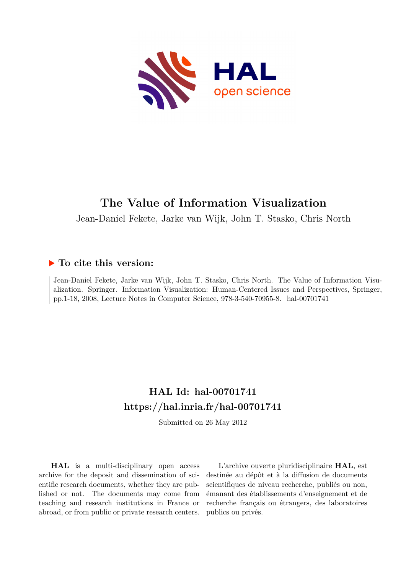

# **The Value of Information Visualization**

Jean-Daniel Fekete, Jarke van Wijk, John T. Stasko, Chris North

# **To cite this version:**

Jean-Daniel Fekete, Jarke van Wijk, John T. Stasko, Chris North. The Value of Information Visualization. Springer. Information Visualization: Human-Centered Issues and Perspectives, Springer, pp.1-18, 2008, Lecture Notes in Computer Science, 978-3-540-70955-8. hal-00701741

# **HAL Id: hal-00701741 <https://hal.inria.fr/hal-00701741>**

Submitted on 26 May 2012

**HAL** is a multi-disciplinary open access archive for the deposit and dissemination of scientific research documents, whether they are published or not. The documents may come from teaching and research institutions in France or abroad, or from public or private research centers.

L'archive ouverte pluridisciplinaire **HAL**, est destinée au dépôt et à la diffusion de documents scientifiques de niveau recherche, publiés ou non, émanant des établissements d'enseignement et de recherche français ou étrangers, des laboratoires publics ou privés.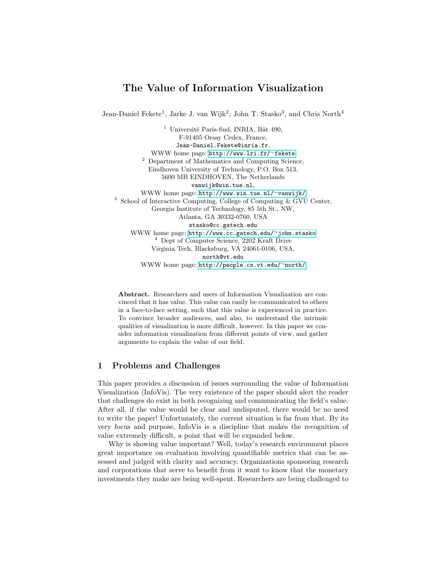# The Value of Information Visualization

Jean-Daniel Fekete<sup>1</sup>, Jarke J. van Wijk<sup>2</sup>, John T. Stasko<sup>3</sup>, and Chris North<sup>4</sup>

 $1$  Université Paris-Sud, INRIA, Bât 490, F-91405 Orsay Cedex, France, Jean-Daniel.Fekete@inria.fr, WWW home page: [http://www.lri.fr/](http://www.lri.fr/~fekete)<sup>∼</sup>fekete <sup>2</sup> Department of Mathematics and Computing Science, Eindhoven University of Technology, P.O. Box 513, 5600 MB EINDHOVEN, The Netherlands vanwijk@win.tue.nl, WWW home page: [http://www.win.tue.nl/](http://www.win.tue.nl/~vanwijk/)<sup>∼</sup>vanwijk/ <sup>3</sup> School of Interactive Computing, College of Computing & GVU Center, Georgia Institute of Technology, 85 5th St., NW, Atlanta, GA 30332-0760, USA stasko@cc.gatech.edu WWW home page: [http://www.cc.gatech.edu/](http://www.cc.gatech.edu/~john.stasko)<sup>∼</sup>john.stasko <sup>4</sup> Dept of Computer Science, 2202 Kraft Drive Virginia Tech, Blacksburg, VA 24061-0106, USA, north@vt.edu WWW home page: [http://people.cs.vt.edu/](http://people.cs.vt.edu/~north/)<sup>∼</sup>north/

Abstract. Researchers and users of Information Visualization are convinced that it has value. This value can easily be communicated to others in a face-to-face setting, such that this value is experienced in practice. To convince broader audiences, and also, to understand the intrinsic qualities of visualization is more difficult, however. In this paper we consider information visualization from different points of view, and gather arguments to explain the value of our field.

# 1 Problems and Challenges

This paper provides a discussion of issues surrounding the value of Information Visualization (InfoVis). The very existence of the paper should alert the reader that challenges do exist in both recognizing and communicating the field's value. After all, if the value would be clear and undisputed, there would be no need to write the paper! Unfortunately, the current situation is far from that. By its very focus and purpose, InfoVis is a discipline that makes the recognition of value extremely difficult, a point that will be expanded below.

Why is showing value important? Well, today's research environment places great importance on evaluation involving quantifiable metrics that can be assessed and judged with clarity and accuracy. Organizations sponsoring research and corporations that serve to benefit from it want to know that the monetary investments they make are being well-spent. Researchers are being challenged to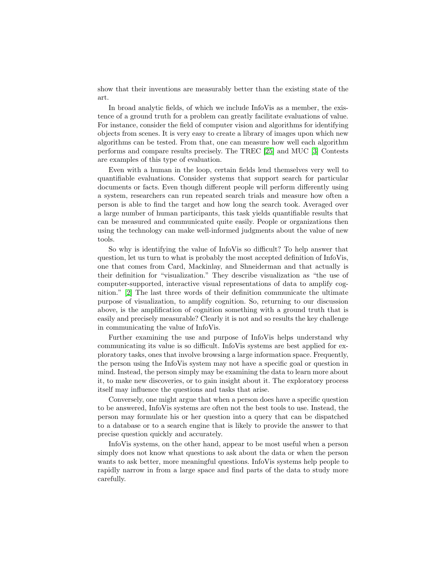show that their inventions are measurably better than the existing state of the art.

In broad analytic fields, of which we include InfoVis as a member, the existence of a ground truth for a problem can greatly facilitate evaluations of value. For instance, consider the field of computer vision and algorithms for identifying objects from scenes. It is very easy to create a library of images upon which new algorithms can be tested. From that, one can measure how well each algorithm performs and compare results precisely. The TREC [\[25\]](#page-18-0) and MUC [\[3\]](#page-17-0) Contests are examples of this type of evaluation.

Even with a human in the loop, certain fields lend themselves very well to quantifiable evaluations. Consider systems that support search for particular documents or facts. Even though different people will perform differently using a system, researchers can run repeated search trials and measure how often a person is able to find the target and how long the search took. Averaged over a large number of human participants, this task yields quantifiable results that can be measured and communicated quite easily. People or organizations then using the technology can make well-informed judgments about the value of new tools.

So why is identifying the value of InfoVis so difficult? To help answer that question, let us turn to what is probably the most accepted definition of InfoVis, one that comes from Card, Mackinlay, and Shneiderman and that actually is their definition for "visualization." They describe visualization as "the use of computer-supported, interactive visual representations of data to amplify cognition." [\[2\]](#page-17-1) The last three words of their definition communicate the ultimate purpose of visualization, to amplify cognition. So, returning to our discussion above, is the amplification of cognition something with a ground truth that is easily and precisely measurable? Clearly it is not and so results the key challenge in communicating the value of InfoVis.

Further examining the use and purpose of InfoVis helps understand why communicating its value is so difficult. InfoVis systems are best applied for exploratory tasks, ones that involve browsing a large information space. Frequently, the person using the InfoVis system may not have a specific goal or question in mind. Instead, the person simply may be examining the data to learn more about it, to make new discoveries, or to gain insight about it. The exploratory process itself may influence the questions and tasks that arise.

Conversely, one might argue that when a person does have a specific question to be answered, InfoVis systems are often not the best tools to use. Instead, the person may formulate his or her question into a query that can be dispatched to a database or to a search engine that is likely to provide the answer to that precise question quickly and accurately.

InfoVis systems, on the other hand, appear to be most useful when a person simply does not know what questions to ask about the data or when the person wants to ask better, more meaningful questions. InfoVis systems help people to rapidly narrow in from a large space and find parts of the data to study more carefully.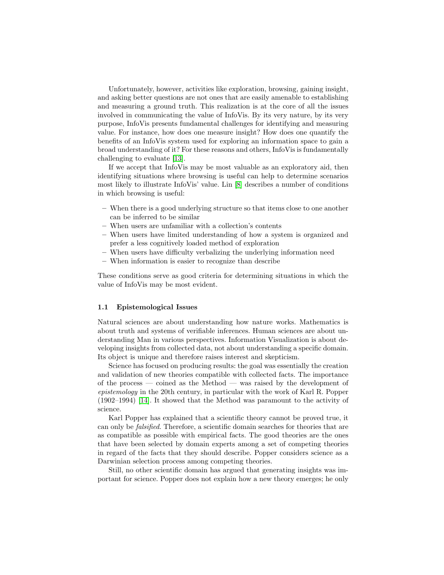Unfortunately, however, activities like exploration, browsing, gaining insight, and asking better questions are not ones that are easily amenable to establishing and measuring a ground truth. This realization is at the core of all the issues involved in communicating the value of InfoVis. By its very nature, by its very purpose, InfoVis presents fundamental challenges for identifying and measuring value. For instance, how does one measure insight? How does one quantify the benefits of an InfoVis system used for exploring an information space to gain a broad understanding of it? For these reasons and others, InfoVis is fundamentally challenging to evaluate [\[13\]](#page-17-2).

If we accept that InfoVis may be most valuable as an exploratory aid, then identifying situations where browsing is useful can help to determine scenarios most likely to illustrate InfoVis' value. Lin [\[8\]](#page-17-3) describes a number of conditions in which browsing is useful:

- When there is a good underlying structure so that items close to one another can be inferred to be similar
- When users are unfamiliar with a collection's contents
- When users have limited understanding of how a system is organized and prefer a less cognitively loaded method of exploration
- When users have difficulty verbalizing the underlying information need
- When information is easier to recognize than describe

These conditions serve as good criteria for determining situations in which the value of InfoVis may be most evident.

#### 1.1 Epistemological Issues

Natural sciences are about understanding how nature works. Mathematics is about truth and systems of verifiable inferences. Human sciences are about understanding Man in various perspectives. Information Visualization is about developing insights from collected data, not about understanding a specific domain. Its object is unique and therefore raises interest and skepticism.

Science has focused on producing results: the goal was essentially the creation and validation of new theories compatible with collected facts. The importance of the process — coined as the Method — was raised by the development of *epistemology* in the 20th century, in particular with the work of Karl R. Popper (1902–1994) [\[14\]](#page-17-4). It showed that the Method was paramount to the activity of science.

Karl Popper has explained that a scientific theory cannot be proved true, it can only be *falsified*. Therefore, a scientific domain searches for theories that are as compatible as possible with empirical facts. The good theories are the ones that have been selected by domain experts among a set of competing theories in regard of the facts that they should describe. Popper considers science as a Darwinian selection process among competing theories.

Still, no other scientific domain has argued that generating insights was important for science. Popper does not explain how a new theory emerges; he only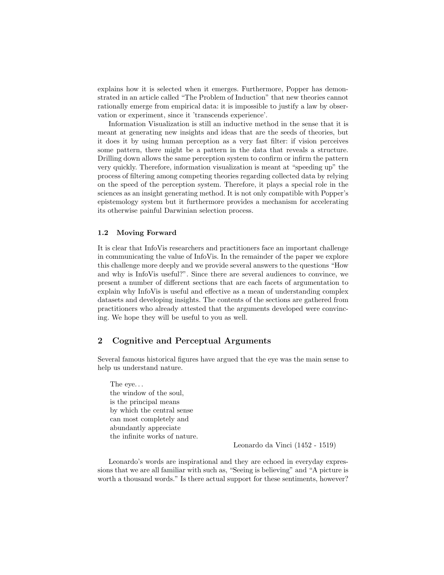explains how it is selected when it emerges. Furthermore, Popper has demonstrated in an article called "The Problem of Induction" that new theories cannot rationally emerge from empirical data: it is impossible to justify a law by observation or experiment, since it 'transcends experience'.

Information Visualization is still an inductive method in the sense that it is meant at generating new insights and ideas that are the seeds of theories, but it does it by using human perception as a very fast filter: if vision perceives some pattern, there might be a pattern in the data that reveals a structure. Drilling down allows the same perception system to confirm or infirm the pattern very quickly. Therefore, information visualization is meant at "speeding up" the process of filtering among competing theories regarding collected data by relying on the speed of the perception system. Therefore, it plays a special role in the sciences as an insight generating method. It is not only compatible with Popper's epistemology system but it furthermore provides a mechanism for accelerating its otherwise painful Darwinian selection process.

### 1.2 Moving Forward

It is clear that InfoVis researchers and practitioners face an important challenge in communicating the value of InfoVis. In the remainder of the paper we explore this challenge more deeply and we provide several answers to the questions "How and why is InfoVis useful?". Since there are several audiences to convince, we present a number of different sections that are each facets of argumentation to explain why InfoVis is useful and effective as a mean of understanding complex datasets and developing insights. The contents of the sections are gathered from practitioners who already attested that the arguments developed were convincing. We hope they will be useful to you as well.

# 2 Cognitive and Perceptual Arguments

Several famous historical figures have argued that the eye was the main sense to help us understand nature.

The eye. . . the window of the soul, is the principal means by which the central sense can most completely and abundantly appreciate the infinite works of nature.

Leonardo da Vinci (1452 - 1519)

Leonardo's words are inspirational and they are echoed in everyday expressions that we are all familiar with such as, "Seeing is believing" and "A picture is worth a thousand words." Is there actual support for these sentiments, however?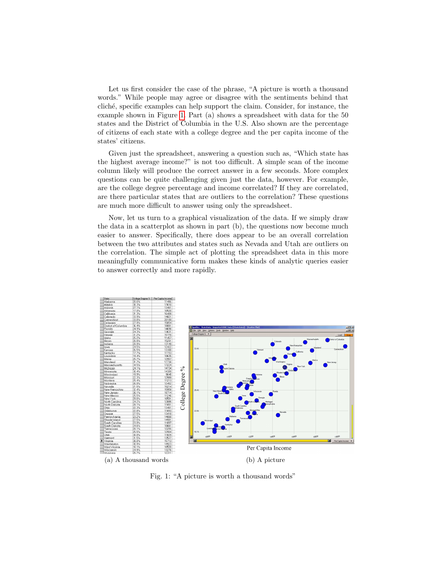Let us first consider the case of the phrase, "A picture is worth a thousand words." While people may agree or disagree with the sentiments behind that cliché, specific examples can help support the claim. Consider, for instance, the example shown in Figure [1.](#page-5-0) Part (a) shows a spreadsheet with data for the 50 states and the District of Columbia in the U.S. Also shown are the percentage of citizens of each state with a college degree and the per capita income of the states' citizens.

Given just the spreadsheet, answering a question such as, "Which state has the highest average income?" is not too difficult. A simple scan of the income column likely will produce the correct answer in a few seconds. More complex questions can be quite challenging given just the data, however. For example, are the college degree percentage and income correlated? If they are correlated, are there particular states that are outliers to the correlation? These questions are much more difficult to answer using only the spreadsheet.

Now, let us turn to a graphical visualization of the data. If we simply draw the data in a scatterplot as shown in part (b), the questions now become much easier to answer. Specifically, there does appear to be an overall correlation between the two attributes and states such as Nevada and Utah are outliers on the correlation. The simple act of plotting the spreadsheet data in this more meaningfully communicative form makes these kinds of analytic queries easier to answer correctly and more rapidly.



<span id="page-5-0"></span>Fig. 1: "A picture is worth a thousand words"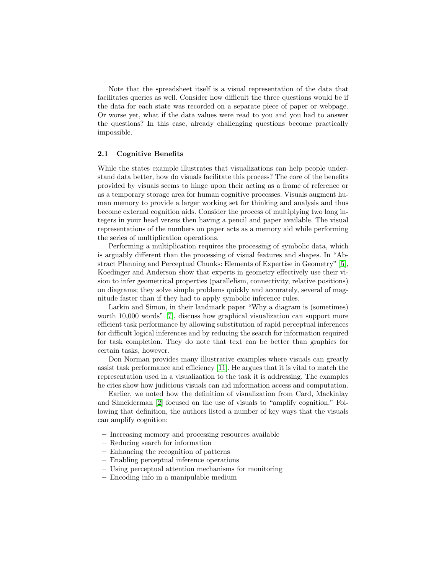Note that the spreadsheet itself is a visual representation of the data that facilitates queries as well. Consider how difficult the three questions would be if the data for each state was recorded on a separate piece of paper or webpage. Or worse yet, what if the data values were read to you and you had to answer the questions? In this case, already challenging questions become practically impossible.

#### 2.1 Cognitive Benefits

While the states example illustrates that visualizations can help people understand data better, how do visuals facilitate this process? The core of the benefits provided by visuals seems to hinge upon their acting as a frame of reference or as a temporary storage area for human cognitive processes. Visuals augment human memory to provide a larger working set for thinking and analysis and thus become external cognition aids. Consider the process of multiplying two long integers in your head versus then having a pencil and paper available. The visual representations of the numbers on paper acts as a memory aid while performing the series of multiplication operations.

Performing a multiplication requires the processing of symbolic data, which is arguably different than the processing of visual features and shapes. In "Abstract Planning and Perceptual Chunks: Elements of Expertise in Geometry" [\[5\]](#page-17-5), Koedinger and Anderson show that experts in geometry effectively use their vision to infer geometrical properties (parallelism, connectivity, relative positions) on diagrams; they solve simple problems quickly and accurately, several of magnitude faster than if they had to apply symbolic inference rules.

Larkin and Simon, in their landmark paper "Why a diagram is (sometimes) worth 10,000 words" [\[7\]](#page-17-6), discuss how graphical visualization can support more efficient task performance by allowing substitution of rapid perceptual inferences for difficult logical inferences and by reducing the search for information required for task completion. They do note that text can be better than graphics for certain tasks, however.

Don Norman provides many illustrative examples where visuals can greatly assist task performance and efficiency [\[11\]](#page-17-7). He argues that it is vital to match the representation used in a visualization to the task it is addressing. The examples he cites show how judicious visuals can aid information access and computation.

Earlier, we noted how the definition of visualization from Card, Mackinlay and Shneiderman [\[2\]](#page-17-1) focused on the use of visuals to "amplify cognition." Following that definition, the authors listed a number of key ways that the visuals can amplify cognition:

- Increasing memory and processing resources available
- Reducing search for information
- Enhancing the recognition of patterns
- Enabling perceptual inference operations
- Using perceptual attention mechanisms for monitoring
- Encoding info in a manipulable medium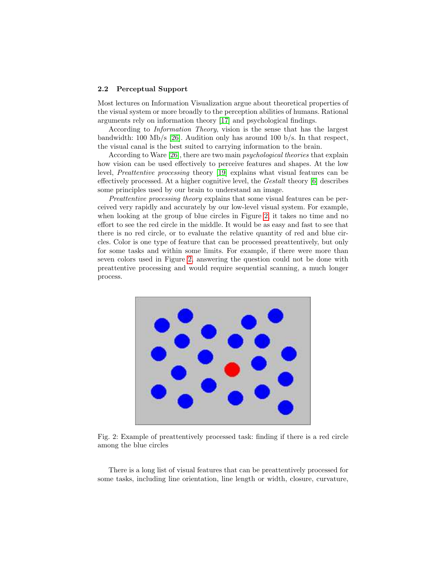#### 2.2 Perceptual Support

Most lectures on Information Visualization argue about theoretical properties of the visual system or more broadly to the perception abilities of humans. Rational arguments rely on information theory [\[17\]](#page-18-1) and psychological findings.

According to *Information Theory*, vision is the sense that has the largest bandwidth: 100 Mb/s [\[26\]](#page-18-2). Audition only has around 100 b/s. In that respect, the visual canal is the best suited to carrying information to the brain.

According to Ware [\[26\]](#page-18-2), there are two main *psychological theories* that explain how vision can be used effectively to perceive features and shapes. At the low level, *Preattentive processing* theory [\[19\]](#page-18-3) explains what visual features can be effectively processed. At a higher cognitive level, the *Gestalt* theory [\[6\]](#page-17-8) describes some principles used by our brain to understand an image.

*Preattentive processing theory* explains that some visual features can be perceived very rapidly and accurately by our low-level visual system. For example, when looking at the group of blue circles in Figure [2,](#page-7-0) it takes no time and no effort to see the red circle in the middle. It would be as easy and fast to see that there is no red circle, or to evaluate the relative quantity of red and blue circles. Color is one type of feature that can be processed preattentively, but only for some tasks and within some limits. For example, if there were more than seven colors used in Figure [2,](#page-7-0) answering the question could not be done with preattentive processing and would require sequential scanning, a much longer process.



Fig. 2: Example of preattentively processed task: finding if there is a red circle among the blue circles

<span id="page-7-0"></span>There is a long list of visual features that can be preattentively processed for some tasks, including line orientation, line length or width, closure, curvature,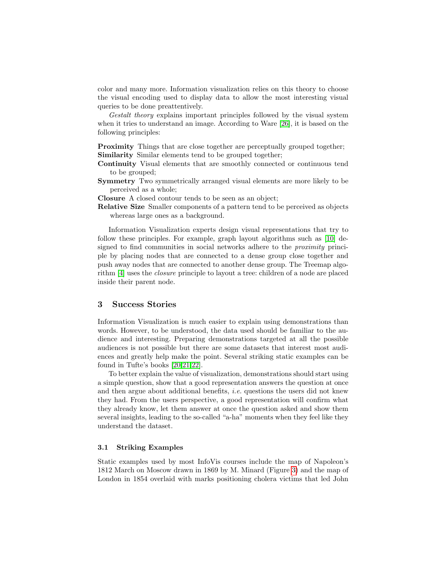color and many more. Information visualization relies on this theory to choose the visual encoding used to display data to allow the most interesting visual queries to be done preattentively.

*Gestalt theory* explains important principles followed by the visual system when it tries to understand an image. According to Ware [\[26\]](#page-18-2), it is based on the following principles:

Proximity Things that are close together are perceptually grouped together; Similarity Similar elements tend to be grouped together;

- Continuity Visual elements that are smoothly connected or continuous tend to be grouped;
- Symmetry Two symmetrically arranged visual elements are more likely to be perceived as a whole;

Closure A closed contour tends to be seen as an object;

Relative Size Smaller components of a pattern tend to be perceived as objects whereas large ones as a background.

Information Visualization experts design visual representations that try to follow these principles. For example, graph layout algorithms such as [\[10\]](#page-17-9) designed to find communities in social networks adhere to the *proximity* principle by placing nodes that are connected to a dense group close together and push away nodes that are connected to another dense group. The Treemap algorithm [\[4\]](#page-17-10) uses the *closure* principle to layout a tree: children of a node are placed inside their parent node.

## 3 Success Stories

Information Visualization is much easier to explain using demonstrations than words. However, to be understood, the data used should be familiar to the audience and interesting. Preparing demonstrations targeted at all the possible audiences is not possible but there are some datasets that interest most audiences and greatly help make the point. Several striking static examples can be found in Tufte's books [\[20,](#page-18-4)[21](#page-18-5)[,22\]](#page-18-6).

To better explain the value of visualization, demonstrations should start using a simple question, show that a good representation answers the question at once and then argue about additional benefits, *i.e.* questions the users did not knew they had. From the users perspective, a good representation will confirm what they already know, let them answer at once the question asked and show them several insights, leading to the so-called "a-ha" moments when they feel like they understand the dataset.

### 3.1 Striking Examples

Static examples used by most InfoVis courses include the map of Napoleon's 1812 March on Moscow drawn in 1869 by M. Minard (Figure [3\)](#page-9-0) and the map of London in 1854 overlaid with marks positioning cholera victims that led John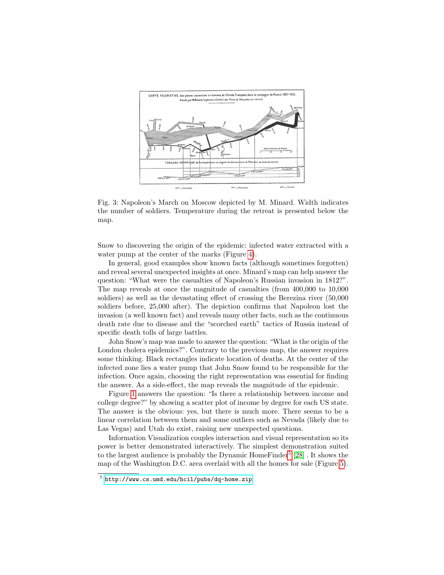

<span id="page-9-0"></span>Fig. 3: Napoleon's March on Moscow depicted by M. Minard. Width indicates the number of soldiers. Temperature during the retreat is presented below the map.

Snow to discovering the origin of the epidemic: infected water extracted with a water pump at the center of the marks (Figure [4\)](#page-10-0).

In general, good examples show known facts (although sometimes forgotten) and reveal several unexpected insights at once. Minard's map can help answer the question: "What were the casualties of Napoleon's Russian invasion in 1812?". The map reveals at once the magnitude of casualties (from 400,000 to 10,000 soldiers) as well as the devastating effect of crossing the Berezina river (50,000 soldiers before, 25,000 after). The depiction confirms that Napoleon lost the invasion (a well known fact) and reveals many other facts, such as the continuous death rate due to disease and the "scorched earth" tactics of Russia instead of specific death tolls of large battles.

John Snow's map was made to answer the question: "What is the origin of the London cholera epidemics?". Contrary to the previous map, the answer requires some thinking. Black rectangles indicate location of deaths. At the center of the infected zone lies a water pump that John Snow found to be responsible for the infection. Once again, choosing the right representation was essential for finding the answer. As a side-effect, the map reveals the magnitude of the epidemic.

Figure [1](#page-5-0) answers the question: "Is there a relationship between income and college degree?" by showing a scatter plot of income by degree for each US state. The answer is the obvious: yes, but there is much more. There seems to be a linear correlation between them and some outliers such as Nevada (likely due to Las Vegas) and Utah do exist, raising new unexpected questions.

Information Visualization couples interaction and visual representation so its power is better demonstrated interactively. The simplest demonstration suited to the largest audience is probably the Dynamic Home $\text{Finder}^5$  $\text{Finder}^5$  [\[28\]](#page-18-7). It shows the map of the Washington D.C. area overlaid with all the homes for sale (Figure [5\)](#page-11-0).

<span id="page-9-1"></span><sup>5</sup> <http://www.cs.umd.edu/hcil/pubs/dq-home.zip>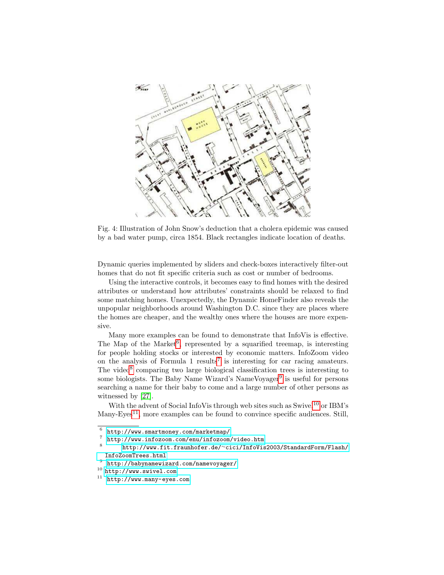

<span id="page-10-0"></span>Fig. 4: Illustration of John Snow's deduction that a cholera epidemic was caused by a bad water pump, circa 1854. Black rectangles indicate location of deaths.

Dynamic queries implemented by sliders and check-boxes interactively filter-out homes that do not fit specific criteria such as cost or number of bedrooms.

Using the interactive controls, it becomes easy to find homes with the desired attributes or understand how attributes' constraints should be relaxed to find some matching homes. Unexpectedly, the Dynamic HomeFinder also reveals the unpopular neighborhoods around Washington D.C. since they are places where the homes are cheaper, and the wealthy ones where the houses are more expensive.

Many more examples can be found to demonstrate that InfoVis is effective. The Map of the Market<sup>[6](#page-10-1)</sup>, represented by a squarified treemap, is interesting for people holding stocks or interested by economic matters. InfoZoom video on the analysis of Formula 1 results<sup>[7](#page-10-2)</sup> is interesting for car racing amateurs. The video<sup>[8](#page-10-3)</sup> comparing two large biological classification trees is interesting to some biologists. The Baby Name Wizard's NameVoyager<sup>[9](#page-10-4)</sup> is useful for persons searching a name for their baby to come and a large number of other persons as witnessed by [\[27\]](#page-18-8).

With the advent of Social InfoVis through web sites such as  $\text{Swivel}^{10}$  $\text{Swivel}^{10}$  $\text{Swivel}^{10}$  or IBM's Many-Eyes<sup>[11](#page-10-6)</sup>, more examples can be found to convince specific audiences. Still,

<span id="page-10-5"></span> $^{10}$  <http://www.swivel.com>

<span id="page-10-1"></span><sup>6</sup> <http://www.smartmoney.com/marketmap/>

<span id="page-10-2"></span><sup>7</sup> <http://www.infozoom.com/enu/infozoom/video.htm>

<span id="page-10-3"></span><sup>8</sup> http://www.fit.fraunhofer.de/<sup>∼</sup>[cici/InfoVis2003/StandardForm/Flash/](http://www.fit.fraunhofer.de/~cici/InfoVis2003/StandardForm/Flash/InfoZoomTrees.html) [InfoZoomTrees.html](http://www.fit.fraunhofer.de/~cici/InfoVis2003/StandardForm/Flash/InfoZoomTrees.html)

<span id="page-10-4"></span> $^9$  <http://babynamewizard.com/namevoyager/>

<span id="page-10-6"></span><sup>11</sup> <http://www.many-eyes.com>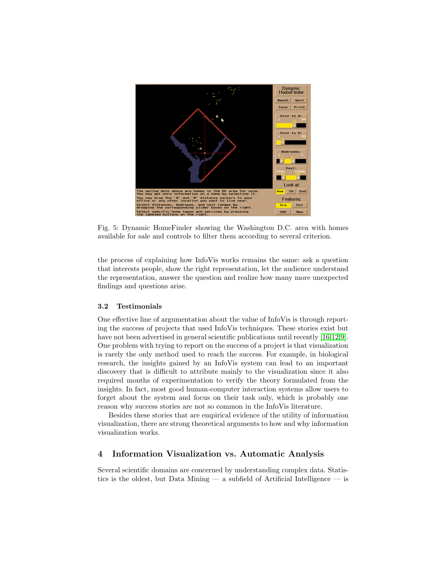

<span id="page-11-0"></span>Fig. 5: Dynamic HomeFinder showing the Washington D.C. area with homes available for sale and controls to filter them according to several criterion.

the process of explaining how InfoVis works remains the same: ask a question that interests people, show the right representation, let the audience understand the representation, answer the question and realize how many more unexpected findings and questions arise.

#### 3.2 Testimonials

One effective line of argumentation about the value of InfoVis is through reporting the success of projects that used InfoVis techniques. These stories exist but have not been advertised in general scientific publications until recently [\[16,](#page-18-9)[12](#page-17-11)[,9\]](#page-17-12). One problem with trying to report on the success of a project is that visualization is rarely the only method used to reach the success. For example, in biological research, the insights gained by an InfoVis system can lead to an important discovery that is difficult to attribute mainly to the visualization since it also required months of experimentation to verify the theory formulated from the insights. In fact, most good human-computer interaction systems allow users to forget about the system and focus on their task only, which is probably one reason why success stories are not so common in the InfoVis literature.

Besides these stories that are empirical evidence of the utility of information visualization, there are strong theoretical arguments to how and why information visualization works.

# 4 Information Visualization vs. Automatic Analysis

Several scientific domains are concerned by understanding complex data. Statistics is the oldest, but Data Mining — a subfield of Artificial Intelligence — is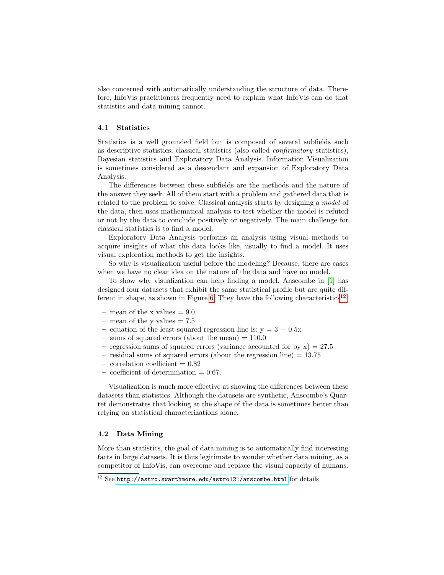also concerned with automatically understanding the structure of data. Therefore, InfoVis practitioners frequently need to explain what InfoVis can do that statistics and data mining cannot.

#### 4.1 Statistics

Statistics is a well grounded field but is composed of several subfields such as descriptive statistics, classical statistics (also called *confirmatory* statistics), Bayesian statistics and Exploratory Data Analysis. Information Visualization is sometimes considered as a descendant and expansion of Exploratory Data Analysis.

The differences between these subfields are the methods and the nature of the answer they seek. All of them start with a problem and gathered data that is related to the problem to solve. Classical analysis starts by designing a *model* of the data, then uses mathematical analysis to test whether the model is refuted or not by the data to conclude positively or negatively. The main challenge for classical statistics is to find a model.

Exploratory Data Analysis performs an analysis using visual methods to acquire insights of what the data looks like, usually to find a model. It uses visual exploration methods to get the insights.

So why is visualization useful before the modeling? Because, there are cases when we have no clear idea on the nature of the data and have no model.

To show why visualization can help finding a model, Anscombe in [\[1\]](#page-17-13) has designed four datasets that exhibit the same statistical profile but are quite dif-ferent in shape, as shown in Figure [6.](#page-13-0) They have the following characteristics<sup>[12](#page-12-0)</sup>:

- mean of the x values  $= 9.0$
- mean of the y values  $= 7.5$
- equation of the least-squared regression line is:  $y = 3 + 0.5x$
- sums of squared errors (about the mean)  $= 110.0$
- regression sums of squared errors (variance accounted for by  $x$ ) = 27.5
- $-$  residual sums of squared errors (about the regression line)  $= 13.75$
- $-$  correlation coefficient  $= 0.82$
- $-$  coefficient of determination  $= 0.67$ .

Visualization is much more effective at showing the differences between these datasets than statistics. Although the datasets are synthetic, Anscombe's Quartet demonstrates that looking at the shape of the data is sometimes better than relying on statistical characterizations alone.

#### 4.2 Data Mining

More than statistics, the goal of data mining is to automatically find interesting facts in large datasets. It is thus legitimate to wonder whether data mining, as a competitor of InfoVis, can overcome and replace the visual capacity of humans.

<span id="page-12-0"></span> $\frac{12}{12}$  See <http://astro.swarthmore.edu/astro121/anscombe.html> for details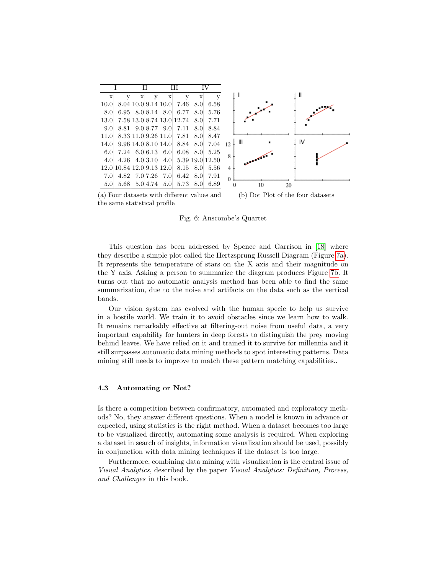

(a) Four datasets with different values and the same statistical profile

(b) Dot Plot of the four datasets

<span id="page-13-0"></span>Fig. 6: Anscombe's Quartet

This question has been addressed by Spence and Garrison in [\[18\]](#page-18-10) where they describe a simple plot called the Hertzsprung Russell Diagram (Figure [7a\)](#page-14-0). It represents the temperature of stars on the X axis and their magnitude on the Y axis. Asking a person to summarize the diagram produces Figure [7b.](#page-14-1) It turns out that no automatic analysis method has been able to find the same summarization, due to the noise and artifacts on the data such as the vertical bands.

Our vision system has evolved with the human specie to help us survive in a hostile world. We train it to avoid obstacles since we learn how to walk. It remains remarkably effective at filtering-out noise from useful data, a very important capability for hunters in deep forests to distinguish the prey moving behind leaves. We have relied on it and trained it to survive for millennia and it still surpasses automatic data mining methods to spot interesting patterns. Data mining still needs to improve to match these pattern matching capabilities..

#### 4.3 Automating or Not?

Is there a competition between confirmatory, automated and exploratory methods? No, they answer different questions. When a model is known in advance or expected, using statistics is the right method. When a dataset becomes too large to be visualized directly, automating some analysis is required. When exploring a dataset in search of insights, information visualization should be used, possibly in conjunction with data mining techniques if the dataset is too large.

Furthermore, combining data mining with visualization is the central issue of *Visual Analytics*, described by the paper *Visual Analytics: Definition, Process, and Challenges* in this book.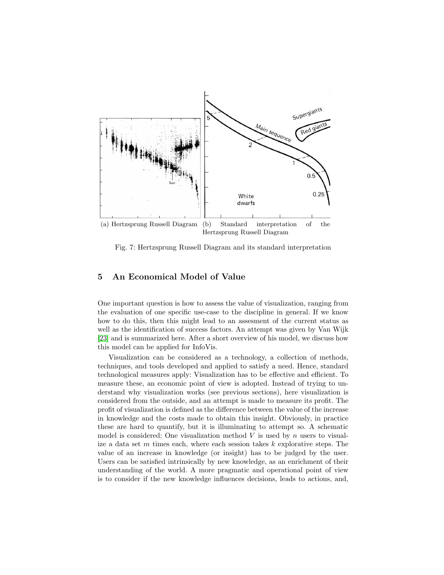<span id="page-14-0"></span>

<span id="page-14-1"></span>Fig. 7: Hertzsprung Russell Diagram and its standard interpretation

# 5 An Economical Model of Value

One important question is how to assess the value of visualization, ranging from the evaluation of one specific use-case to the discipline in general. If we know how to do this, then this might lead to an assesment of the current status as well as the identification of success factors. An attempt was given by Van Wijk [\[23\]](#page-18-11) and is summarized here. After a short overview of his model, we discuss how this model can be applied for InfoVis.

Visualization can be considered as a technology, a collection of methods, techniques, and tools developed and applied to satisfy a need. Hence, standard technological measures apply: Visualization has to be effective and efficient. To measure these, an economic point of view is adopted. Instead of trying to understand why visualization works (see previous sections), here visualization is considered from the outside, and an attempt is made to measure its profit. The profit of visualization is defined as the difference between the value of the increase in knowledge and the costs made to obtain this insight. Obviously, in practice these are hard to quantify, but it is illuminating to attempt so. A schematic model is considered: One visualization method  $V$  is used by  $n$  users to visualize a data set  $m$  times each, where each session takes  $k$  explorative steps. The value of an increase in knowledge (or insight) has to be judged by the user. Users can be satisfied intrinsically by new knowledge, as an enrichment of their understanding of the world. A more pragmatic and operational point of view is to consider if the new knowledge influences decisions, leads to actions, and,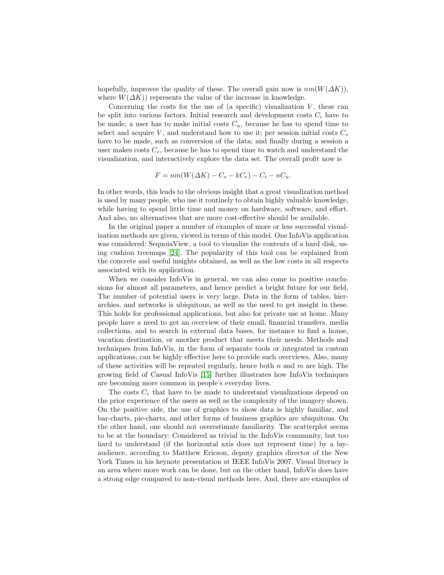hopefully, improves the quality of these. The overall gain now is  $nm(W(\Delta K))$ , where  $W(\Delta K)$  represents the value of the increase in knowledge.

Concerning the costs for the use of (a specific) visualization  $V$ , these can be split into various factors. Initial research and development costs  $C_i$  have to be made; a user has to make initial costs  $C_u$ , because he has to spend time to select and acquire V, and understand how to use it; per session initial costs  $C_s$ have to be made, such as conversion of the data; and finally during a session a user makes costs  $C_e$ , because he has to spend time to watch and understand the visualization, and interactively explore the data set. The overall profit now is

$$
F = nm(W(\Delta K) - C_s - kC_e) - C_i - nC_u.
$$

In other words, this leads to the obvious insight that a great visualization method is used by many people, who use it routinely to obtain highly valuable knowledge, while having to spend little time and money on hardware, software, and effort. And also, no alternatives that are more cost-effective should be available.

In the original paper a number of examples of more or less successful visualization methods are given, viewed in terms of this model. One InfoVis application was considered: SequoiaView, a tool to visualize the contents of a hard disk, using cushion treemaps [\[24\]](#page-18-12). The popularity of this tool can be explained from the concrete and useful insights obtained, as well as the low costs in all respects associated with its application.

When we consider InfoVis in general, we can also come to positive conclusions for almost all parameters, and hence predict a bright future for our field. The number of potential users is very large. Data in the form of tables, hierarchies, and networks is ubiquitous, as well as the need to get insight in these. This holds for professional applications, but also for private use at home. Many people have a need to get an overview of their email, financial transfers, media collections, and to search in external data bases, for instance to find a house, vacation destination, or another product that meets their needs. Methods and techniques from InfoVis, in the form of separate tools or integrated in custom applications, can be highly effective here to provide such overviews. Also, many of these activities will be repeated regularly, hence both n and  $m$  are high. The growing field of Casual InfoVis [\[15\]](#page-18-13) further illustrates how InfoVis techniques are becoming more common in people's everyday lives.

The costs  $C_e$  that have to be made to understand visualizations depend on the prior experience of the users as well as the complexity of the imagery shown. On the positive side, the use of graphics to show data is highly familiar, and bar-charts, pie-charts, and other forms of business graphics are ubiquitous. On the other hand, one should not overestimate familiarity. The scatterplot seems to be at the boundary: Considered as trivial in the InfoVis community, but too hard to understand (if the horizontal axis does not represent time) by a layaudience, according to Matthew Ericson, deputy graphics director of the New York Times in his keynote presentation at IEEE InfoVis 2007. Visual literacy is an area where more work can be done, but on the other hand, InfoVis does have a strong edge compared to non-visual methods here. And, there are examples of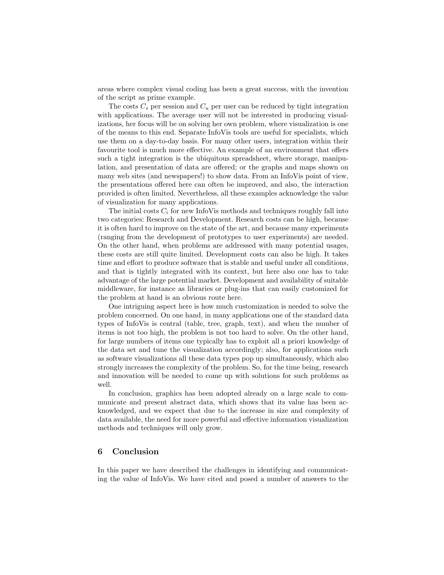areas where complex visual coding has been a great success, with the invention of the script as prime example.

The costs  $C_s$  per session and  $C_u$  per user can be reduced by tight integration with applications. The average user will not be interested in producing visualizations, her focus will be on solving her own problem, where visualization is one of the means to this end. Separate InfoVis tools are useful for specialists, which use them on a day-to-day basis. For many other users, integration within their favourite tool is much more effective. An example of an environment that offers such a tight integration is the ubiquitous spreadsheet, where storage, manipulation, and presentation of data are offered; or the graphs and maps shown on many web sites (and newspapers!) to show data. From an InfoVis point of view, the presentations offered here can often be improved, and also, the interaction provided is often limited. Nevertheless, all these examples acknowledge the value of visualization for many applications.

The initial costs  $C_i$  for new InfoVis methods and techniques roughly fall into two categories: Research and Development. Research costs can be high, because it is often hard to improve on the state of the art, and because many experiments (ranging from the development of prototypes to user experiments) are needed. On the other hand, when problems are addressed with many potential usages, these costs are still quite limited. Development costs can also be high. It takes time and effort to produce software that is stable and useful under all conditions, and that is tightly integrated with its context, but here also one has to take advantage of the large potential market. Development and availability of suitable middleware, for instance as libraries or plug-ins that can easily customized for the problem at hand is an obvious route here.

One intriguing aspect here is how much customization is needed to solve the problem concerned. On one hand, in many applications one of the standard data types of InfoVis is central (table, tree, graph, text), and when the number of items is not too high, the problem is not too hard to solve. On the other hand, for large numbers of items one typically has to exploit all a priori knowledge of the data set and tune the visualization accordingly; also, for applications such as software visualizations all these data types pop up simultaneously, which also strongly increases the complexity of the problem. So, for the time being, research and innovation will be needed to come up with solutions for such problems as well.

In conclusion, graphics has been adopted already on a large scale to communicate and present abstract data, which shows that its value has been acknowledged, and we expect that due to the increase in size and complexity of data available, the need for more powerful and effective information visualization methods and techniques will only grow.

# 6 Conclusion

In this paper we have described the challenges in identifying and communicating the value of InfoVis. We have cited and posed a number of answers to the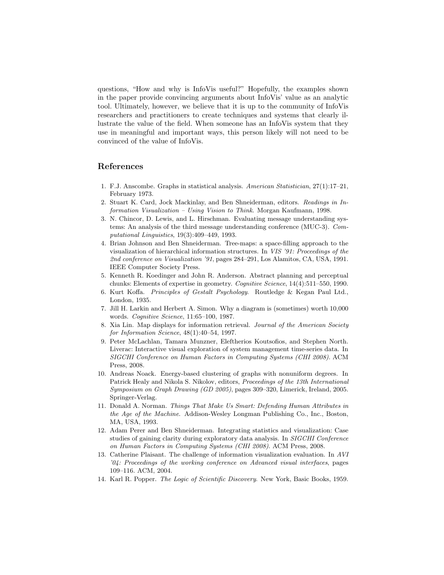questions, "How and why is InfoVis useful?" Hopefully, the examples shown in the paper provide convincing arguments about InfoVis' value as an analytic tool. Ultimately, however, we believe that it is up to the community of InfoVis researchers and practitioners to create techniques and systems that clearly illustrate the value of the field. When someone has an InfoVis system that they use in meaningful and important ways, this person likely will not need to be convinced of the value of InfoVis.

## References

- <span id="page-17-13"></span>1. F.J. Anscombe. Graphs in statistical analysis. American Statistician, 27(1):17–21, February 1973.
- <span id="page-17-1"></span>2. Stuart K. Card, Jock Mackinlay, and Ben Shneiderman, editors. Readings in Information Visualization – Using Vision to Think. Morgan Kaufmann, 1998.
- <span id="page-17-0"></span>3. N. Chincor, D. Lewis, and L. Hirschman. Evaluating message understanding systems: An analysis of the third message understanding conference (MUC-3). Computational Linguistics, 19(3):409–449, 1993.
- <span id="page-17-10"></span>4. Brian Johnson and Ben Shneiderman. Tree-maps: a space-filling approach to the visualization of hierarchical information structures. In VIS '91: Proceedings of the 2nd conference on Visualization '91, pages 284–291, Los Alamitos, CA, USA, 1991. IEEE Computer Society Press.
- <span id="page-17-5"></span>5. Kenneth R. Koedinger and John R. Anderson. Abstract planning and perceptual chunks: Elements of expertise in geometry. Cognitive Science, 14(4):511–550, 1990.
- <span id="page-17-8"></span>6. Kurt Koffa. Principles of Gestalt Psychology. Routledge & Kegan Paul Ltd., London, 1935.
- <span id="page-17-6"></span>7. Jill H. Larkin and Herbert A. Simon. Why a diagram is (sometimes) worth 10,000 words. Cognitive Science, 11:65–100, 1987.
- <span id="page-17-3"></span>8. Xia Lin. Map displays for information retrieval. Journal of the American Society for Information Science, 48(1):40–54, 1997.
- <span id="page-17-12"></span>9. Peter McLachlan, Tamara Munzner, Eleftherios Koutsofios, and Stephen North. Liverac: Interactive visual exploration of system management time-series data. In SIGCHI Conference on Human Factors in Computing Systems (CHI 2008). ACM Press, 2008.
- <span id="page-17-9"></span>10. Andreas Noack. Energy-based clustering of graphs with nonuniform degrees. In Patrick Healy and Nikola S. Nikolov, editors, Proceedings of the 13th International Symposium on Graph Drawing (GD 2005), pages 309–320, Limerick, Ireland, 2005. Springer-Verlag.
- <span id="page-17-7"></span>11. Donald A. Norman. Things That Make Us Smart: Defending Human Attributes in the Age of the Machine. Addison-Wesley Longman Publishing Co., Inc., Boston, MA, USA, 1993.
- <span id="page-17-11"></span>12. Adam Perer and Ben Shneiderman. Integrating statistics and visualization: Case studies of gaining clarity during exploratory data analysis. In SIGCHI Conference on Human Factors in Computing Systems (CHI 2008). ACM Press, 2008.
- <span id="page-17-2"></span>13. Catherine Plaisant. The challenge of information visualization evaluation. In AVI '04: Proceedings of the working conference on Advanced visual interfaces, pages 109–116. ACM, 2004.
- <span id="page-17-4"></span>14. Karl R. Popper. The Logic of Scientific Discovery. New York, Basic Books, 1959.